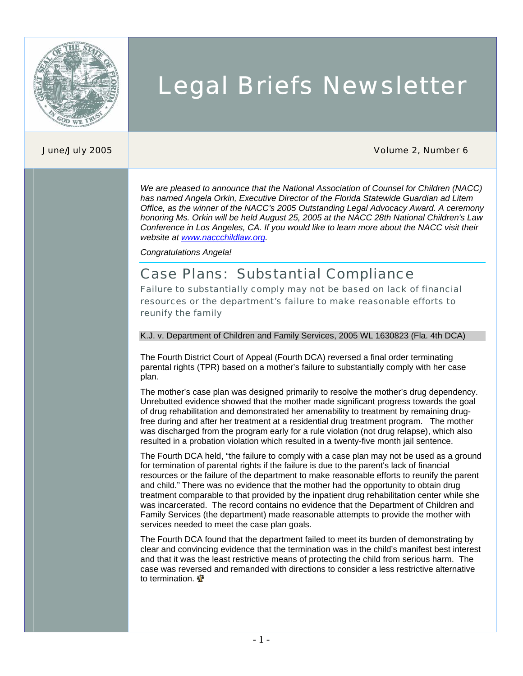

# Legal Briefs Newsletter

#### June/July 2005 Volume 2, Number 6

*We are pleased to announce that the National Association of Counsel for Children (NACC) has named Angela Orkin, Executive Director of the Florida Statewide Guardian ad Litem Office, as the winner of the NACC's 2005 Outstanding Legal Advocacy Award. A ceremony honoring Ms. Orkin will be held August 25, 2005 at the NACC 28th National Children's Law Conference in Los Angeles, CA. If you would like to learn more about the NACC visit their website at [www.naccchildlaw.org.](http://www.naccchildlaw.org/)* 

*Congratulations Angela!* 

### Case Plans: Substantial Compliance

Failure to substantially comply may not be based on lack of financial resources or the department's failure to make reasonable efforts to reunify the family

#### K.J. v. Department of Children and Family Services, 2005 WL 1630823 (Fla. 4th DCA)

The Fourth District Court of Appeal (Fourth DCA) reversed a final order terminating parental rights (TPR) based on a mother's failure to substantially comply with her case plan.

The mother's case plan was designed primarily to resolve the mother's drug dependency. Unrebutted evidence showed that the mother made significant progress towards the goal of drug rehabilitation and demonstrated her amenability to treatment by remaining drugfree during and after her treatment at a residential drug treatment program. The mother was discharged from the program early for a rule violation (not drug relapse), which also resulted in a probation violation which resulted in a twenty-five month jail sentence.

The Fourth DCA held, "the failure to comply with a case plan may not be used as a ground for termination of parental rights if the failure is due to the parent's lack of financial resources or the failure of the department to make reasonable efforts to reunify the parent and child." There was no evidence that the mother had the opportunity to obtain drug treatment comparable to that provided by the inpatient drug rehabilitation center while she was incarcerated. The record contains no evidence that the Department of Children and Family Services (the department) made reasonable attempts to provide the mother with services needed to meet the case plan goals.

The Fourth DCA found that the department failed to meet its burden of demonstrating by clear and convincing evidence that the termination was in the child's manifest best interest and that it was the least restrictive means of protecting the child from serious harm. The case was reversed and remanded with directions to consider a less restrictive alternative to termination. <a>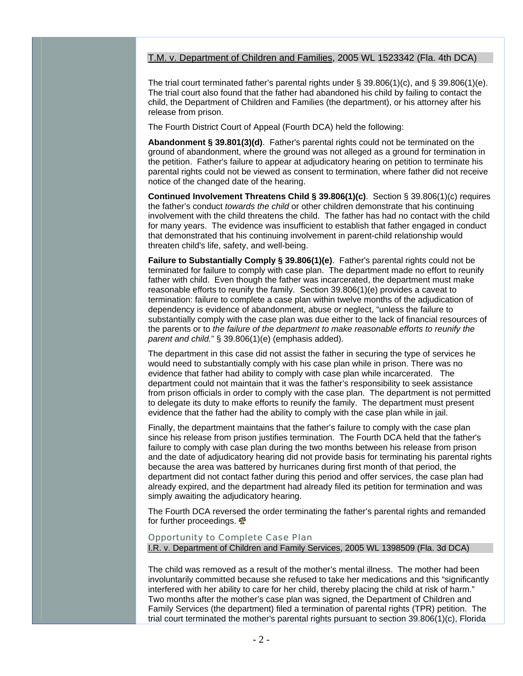#### T.M. v. Department of Children and Families, 2005 WL 1523342 (Fla. 4th DCA)

The trial court terminated father's parental rights under  $\S 39.806(1)(c)$ , and  $\S 39.806(1)(e)$ . The trial court also found that the father had abandoned his child by failing to contact the child, the Department of Children and Families (the department), or his attorney after his release from prison.

The Fourth District Court of Appeal (Fourth DCA) held the following:

**Abandonment § 39.801(3)(d)**. Father's parental rights could not be terminated on the ground of abandonment, where the ground was not alleged as a ground for termination in the petition. Father's failure to appear at adjudicatory hearing on petition to terminate his parental rights could not be viewed as consent to termination, where father did not receive notice of the changed date of the hearing.

**Continued Involvement Threatens Child § 39.806(1)(c)**. Section § 39.806(1)(c) requires the father's conduct *towards the child* or other children demonstrate that his continuing involvement with the child threatens the child. The father has had no contact with the child for many years. The evidence was insufficient to establish that father engaged in conduct that demonstrated that his continuing involvement in parent-child relationship would threaten child's life, safety, and well-being.

**Failure to Substantially Comply § 39.806(1)(e)**. Father's parental rights could not be terminated for failure to comply with case plan. The department made no effort to reunify father with child. Even though the father was incarcerated, the department must make reasonable efforts to reunify the family. Section 39.806(1)(e) provides a caveat to termination: failure to complete a case plan within twelve months of the adjudication of dependency is evidence of abandonment, abuse or neglect, "unless the failure to substantially comply with the case plan was due either to the lack of financial resources of the parents or to *the failure of the department to make reasonable efforts to reunify the parent and child.*" § 39.806(1)(e) (emphasis added).

The department in this case did not assist the father in securing the type of services he would need to substantially comply with his case plan while in prison. There was no evidence that father had ability to comply with case plan while incarcerated. The department could not maintain that it was the father's responsibility to seek assistance from prison officials in order to comply with the case plan. The department is not permitted to delegate its duty to make efforts to reunify the family. The department must present evidence that the father had the ability to comply with the case plan while in jail.

Finally, the department maintains that the father's failure to comply with the case plan since his release from prison justifies termination. The Fourth DCA held that the father's failure to comply with case plan during the two months between his release from prison and the date of adjudicatory hearing did not provide basis for terminating his parental rights because the area was battered by hurricanes during first month of that period, the department did not contact father during this period and offer services, the case plan had already expired, and the department had already filed its petition for termination and was simply awaiting the adjudicatory hearing.

The Fourth DCA reversed the order terminating the father's parental rights and remanded for further proceedings.  $\Phi$ 

Opportunity to Complete Case Plan I.R. v. Department of Children and Family Services, 2005 WL 1398509 (Fla. 3d DCA)

The child was removed as a result of the mother's mental illness. The mother had been involuntarily committed because she refused to take her medications and this "significantly interfered with her ability to care for her child, thereby placing the child at risk of harm." Two months after the mother's case plan was signed, the Department of Children and Family Services (the department) filed a termination of parental rights (TPR) petition. The trial court terminated the mother's parental rights pursuant to section 39.806(1)(c), Florida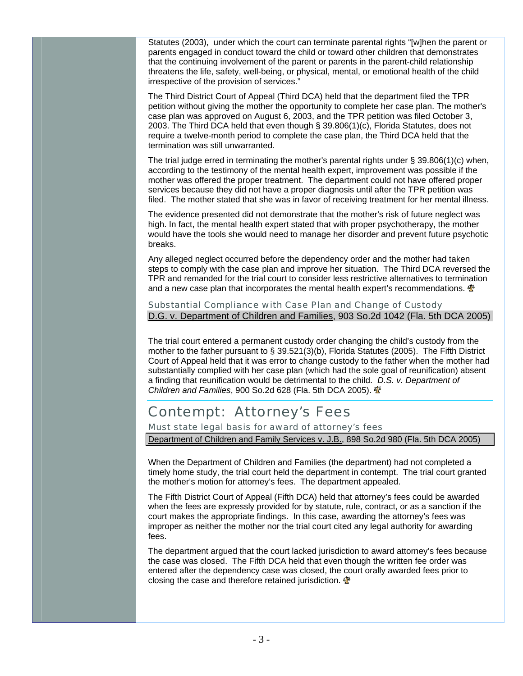Statutes (2003), under which the court can terminate parental rights "[w]hen the parent or parents engaged in conduct toward the child or toward other children that demonstrates that the continuing involvement of the parent or parents in the parent-child relationship threatens the life, safety, well-being, or physical, mental, or emotional health of the child irrespective of the provision of services."

The Third District Court of Appeal (Third DCA) held that the department filed the TPR petition without giving the mother the opportunity to complete her case plan. The mother's case plan was approved on August 6, 2003, and the TPR petition was filed October 3, 2003. The Third DCA held that even though § 39.806(1)(c), Florida Statutes, does not require a twelve-month period to complete the case plan, the Third DCA held that the termination was still unwarranted.

The trial judge erred in terminating the mother's parental rights under § 39.806(1)(c) when, according to the testimony of the mental health expert, improvement was possible if the mother was offered the proper treatment. The department could not have offered proper services because they did not have a proper diagnosis until after the TPR petition was filed. The mother stated that she was in favor of receiving treatment for her mental illness.

The evidence presented did not demonstrate that the mother's risk of future neglect was high. In fact, the mental health expert stated that with proper psychotherapy, the mother would have the tools she would need to manage her disorder and prevent future psychotic breaks.

Any alleged neglect occurred before the dependency order and the mother had taken steps to comply with the case plan and improve her situation. The Third DCA reversed the TPR and remanded for the trial court to consider less restrictive alternatives to termination and a new case plan that incorporates the mental health expert's recommendations.  $\mathbf{\Phi}$ 

Substantial Compliance with Case Plan and Change of Custody D.G. v. Department of Children and Families, 903 So.2d 1042 (Fla. 5th DCA 2005)

The trial court entered a permanent custody order changing the child's custody from the mother to the father pursuant to § 39.521(3)(b), Florida Statutes (2005). The Fifth District Court of Appeal held that it was error to change custody to the father when the mother had substantially complied with her case plan (which had the sole goal of reunification) absent a finding that reunification would be detrimental to the child. *D.S. v. Department of Children and Families*, 900 So.2d 628 (Fla. 5th DCA 2005).

### Contempt: Attorney's Fees

Must state legal basis for award of attorney's fees

Department of Children and Family Services v. J.B., 898 So.2d 980 (Fla. 5th DCA 2005)

When the Department of Children and Families (the department) had not completed a timely home study, the trial court held the department in contempt. The trial court granted the mother's motion for attorney's fees. The department appealed.

The Fifth District Court of Appeal (Fifth DCA) held that attorney's fees could be awarded when the fees are expressly provided for by statute, rule, contract, or as a sanction if the court makes the appropriate findings. In this case, awarding the attorney's fees was improper as neither the mother nor the trial court cited any legal authority for awarding fees.

The department argued that the court lacked jurisdiction to award attorney's fees because the case was closed. The Fifth DCA held that even though the written fee order was entered after the dependency case was closed, the court orally awarded fees prior to closing the case and therefore retained jurisdiction.  $\mathbf{\Phi}$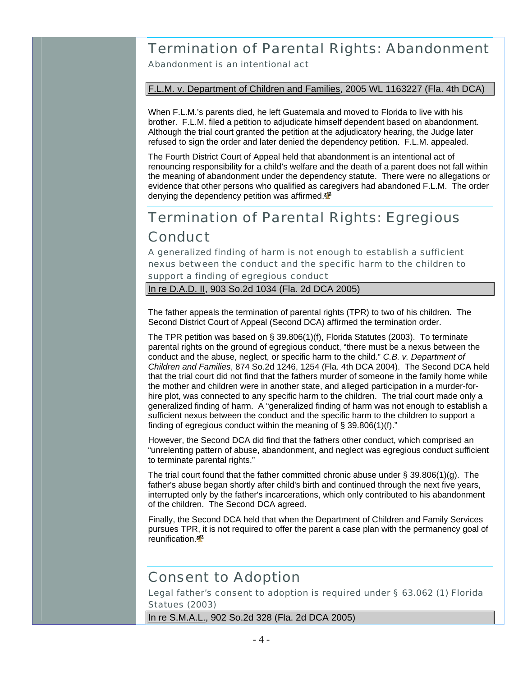## Termination of Parental Rights: Abandonment

Abandonment is an intentional act

F.L.M. v. Department of Children and Families, 2005 WL 1163227 (Fla. 4th DCA)

When F.L.M.'s parents died, he left Guatemala and moved to Florida to live with his brother. F.L.M. filed a petition to adjudicate himself dependent based on abandonment. Although the trial court granted the petition at the adjudicatory hearing, the Judge later refused to sign the order and later denied the dependency petition. F.L.M. appealed.

The Fourth District Court of Appeal held that abandonment is an intentional act of renouncing responsibility for a child's welfare and the death of a parent does not fall within the meaning of abandonment under the dependency statute. There were no allegations or evidence that other persons who qualified as caregivers had abandoned F.L.M. The order denying the dependency petition was affirmed. $\mathbf{\Phi}$ 

### Termination of Parental Rights: Egregious **Conduct**

A generalized finding of harm is not enough to establish a sufficient nexus between the conduct and the specific harm to the children to support a finding of egregious conduct

In re D.A.D. II, 903 So.2d 1034 (Fla. 2d DCA 2005)

The father appeals the termination of parental rights (TPR) to two of his children. The Second District Court of Appeal (Second DCA) affirmed the termination order.

The TPR petition was based on § 39.806(1)(f), Florida Statutes (2003). To terminate parental rights on the ground of egregious conduct, "there must be a nexus between the conduct and the abuse, neglect, or specific harm to the child." *C.B. v. Department of Children and Families*, 874 So.2d 1246, 1254 (Fla. 4th DCA 2004). The Second DCA held that the trial court did not find that the fathers murder of someone in the family home while the mother and children were in another state, and alleged participation in a murder-forhire plot, was connected to any specific harm to the children. The trial court made only a generalized finding of harm. A "generalized finding of harm was not enough to establish a sufficient nexus between the conduct and the specific harm to the children to support a finding of egregious conduct within the meaning of § 39.806(1)(f)."

However, the Second DCA did find that the fathers other conduct, which comprised an "unrelenting pattern of abuse, abandonment, and neglect was egregious conduct sufficient to terminate parental rights."

The trial court found that the father committed chronic abuse under  $\S 39.806(1)(g)$ . The father's abuse began shortly after child's birth and continued through the next five years, interrupted only by the father's incarcerations, which only contributed to his abandonment of the children. The Second DCA agreed.

Finally, the Second DCA held that when the Department of Children and Family Services pursues TPR, it is not required to offer the parent a case plan with the permanency goal of reunification. **介** 

### Consent to Adoption

Legal father's consent to adoption is required under § 63.062 (1) Florida Statues (2003)

In re S.M.A.L., 902 So.2d 328 (Fla. 2d DCA 2005)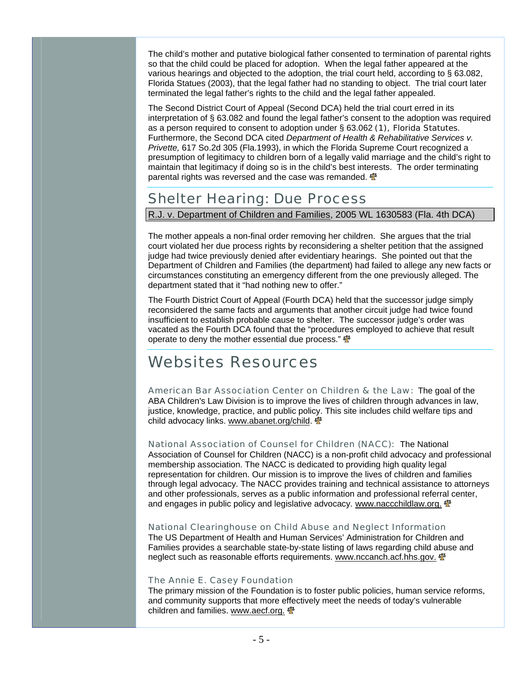The child's mother and putative biological father consented to termination of parental rights so that the child could be placed for adoption. When the legal father appeared at the various hearings and objected to the adoption, the trial court held, according to § 63.082, Florida Statues (2003), that the legal father had no standing to object. The trial court later terminated the legal father's rights to the child and the legal father appealed.

The Second District Court of Appeal (Second DCA) held the trial court erred in its interpretation of § 63.082 and found the legal father's consent to the adoption was required as a person required to consent to adoption under § 63.062 (1), Florida Statutes. Furthermore, the Second DCA cited *Department of Health & Rehabilitative Services v. Privette,* 617 So.2d 305 (Fla.1993), in which the Florida Supreme Court recognized a presumption of legitimacy to children born of a legally valid marriage and the child's right to maintain that legitimacy if doing so is in the child's best interests. The order terminating parental rights was reversed and the case was remanded.  $\mathbf{\Phi}$ 

### Shelter Hearing: Due Process

R.J. v. Department of Children and Families, 2005 WL 1630583 (Fla. 4th DCA)

The mother appeals a non-final order removing her children. She argues that the trial court violated her due process rights by reconsidering a shelter petition that the assigned judge had twice previously denied after evidentiary hearings. She pointed out that the Department of Children and Families (the department) had failed to allege any new facts or circumstances constituting an emergency different from the one previously alleged. The department stated that it "had nothing new to offer."

The Fourth District Court of Appeal (Fourth DCA) held that the successor judge simply reconsidered the same facts and arguments that another circuit judge had twice found insufficient to establish probable cause to shelter. The successor judge's order was vacated as the Fourth DCA found that the "procedures employed to achieve that result operate to deny the mother essential due process."  $\mathbf{\Phi}$ 

## Websites Resources

American Bar Association Center on Children & the Law: The goal of the ABA Children's Law Division is to improve the lives of children through advances in law, justice, knowledge, practice, and public policy. This site includes child welfare tips and child advocacy links. www.abanet.org/child.

National Association of Counsel for Children (NACC): The National Association of Counsel for Children (NACC) is a non-profit child advocacy and professional membership association. The NACC is dedicated to providing high quality legal representation for children. Our mission is to improve the lives of children and families through legal advocacy. The NACC provides training and technical assistance to attorneys and other professionals, serves as a public information and professional referral center, and engages in public policy and legislative advocacy. www.naccchildlaw.org.  $\mathbf{\Phi}$ 

National Clearinghouse on Child Abuse and Neglect Information The US Department of Health and Human Services' Administration for Children and Families provides a searchable state-by-state listing of laws regarding child abuse and neglect such as reasonable efforts requirements. www.nccanch.acf.hhs.gov.  $\Phi$ 

#### The Annie [E. Casey Foundation](http://www.aecf.org/)

The primary mission of the Foundation is to foster public policies, human service reforms, and community supports that more effectively meet the needs of today's vulnerable children and families. [www.aecf.org.](http://www.aecf.org/)  $\Phi$